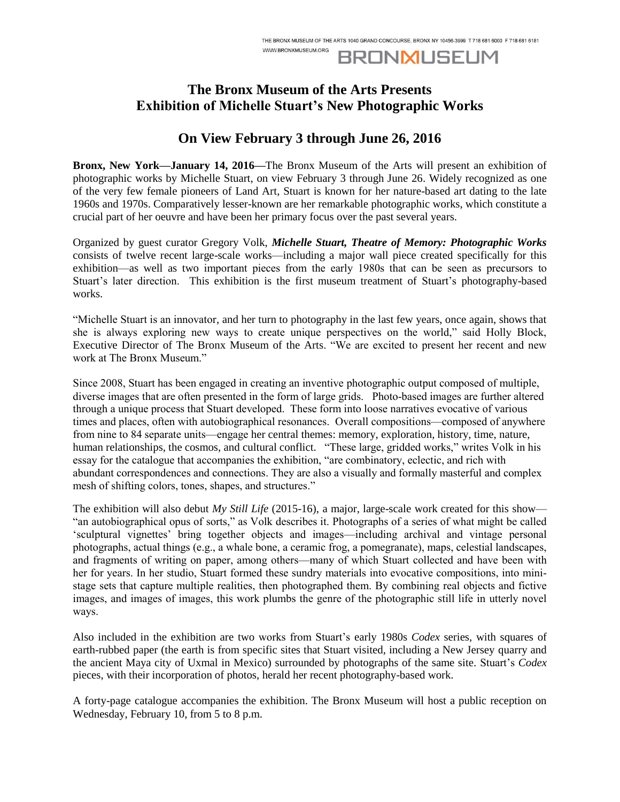**BRONMUSEUM** 

# **The Bronx Museum of the Arts Presents Exhibition of Michelle Stuart's New Photographic Works**

WWW.RRONXMUSEUM.ORG

## **On View February 3 through June 26, 2016**

**Bronx, New York—January 14, 2016—**The Bronx Museum of the Arts will present an exhibition of photographic works by Michelle Stuart, on view February 3 through June 26. Widely recognized as one of the very few female pioneers of Land Art, Stuart is known for her nature-based art dating to the late 1960s and 1970s. Comparatively lesser-known are her remarkable photographic works, which constitute a crucial part of her oeuvre and have been her primary focus over the past several years.

Organized by guest curator Gregory Volk, *Michelle Stuart, Theatre of Memory: Photographic Works* consists of twelve recent large-scale works—including a major wall piece created specifically for this exhibition—as well as two important pieces from the early 1980s that can be seen as precursors to Stuart's later direction. This exhibition is the first museum treatment of Stuart's photography-based works.

"Michelle Stuart is an innovator, and her turn to photography in the last few years, once again, shows that she is always exploring new ways to create unique perspectives on the world," said Holly Block, Executive Director of The Bronx Museum of the Arts. "We are excited to present her recent and new work at The Bronx Museum."

Since 2008, Stuart has been engaged in creating an inventive photographic output composed of multiple, diverse images that are often presented in the form of large grids. Photo-based images are further altered through a unique process that Stuart developed. These form into loose narratives evocative of various times and places, often with autobiographical resonances. Overall compositions—composed of anywhere from nine to 84 separate units—engage her central themes: memory, exploration, history, time, nature, human relationships, the cosmos, and cultural conflict. "These large, gridded works," writes Volk in his essay for the catalogue that accompanies the exhibition, "are combinatory, eclectic, and rich with abundant correspondences and connections. They are also a visually and formally masterful and complex mesh of shifting colors, tones, shapes, and structures."

The exhibition will also debut *My Still Life* (2015-16), a major, large-scale work created for this show— "an autobiographical opus of sorts," as Volk describes it. Photographs of a series of what might be called 'sculptural vignettes' bring together objects and images—including archival and vintage personal photographs, actual things (e.g., a whale bone, a ceramic frog, a pomegranate), maps, celestial landscapes, and fragments of writing on paper, among others—many of which Stuart collected and have been with her for years. In her studio, Stuart formed these sundry materials into evocative compositions, into ministage sets that capture multiple realities, then photographed them. By combining real objects and fictive images, and images of images, this work plumbs the genre of the photographic still life in utterly novel ways.

Also included in the exhibition are two works from Stuart's early 1980s *Codex* series, with squares of earth-rubbed paper (the earth is from specific sites that Stuart visited, including a New Jersey quarry and the ancient Maya city of Uxmal in Mexico) surrounded by photographs of the same site. Stuart's *Codex* pieces, with their incorporation of photos, herald her recent photography-based work.

A forty-page catalogue accompanies the exhibition. The Bronx Museum will host a public reception on Wednesday, February 10, from 5 to 8 p.m.